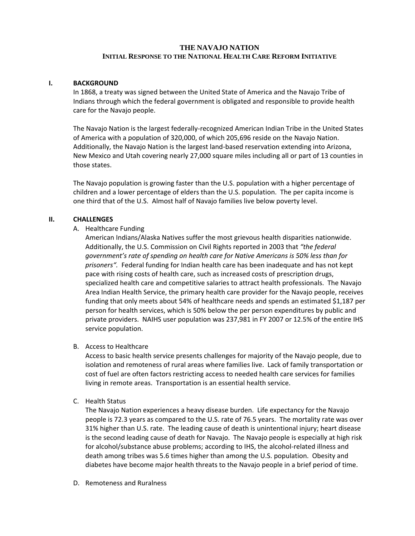## **THE NAVAJO NATION INITIAL RESPONSE TO THE NATIONAL HEALTH CARE REFORM INITIATIVE**

#### **I. BACKGROUND**

In 1868, a treaty was signed between the United State of America and the Navajo Tribe of Indians through which the federal government is obligated and responsible to provide health care for the Navajo people.

The Navajo Nation is the largest federally‐recognized American Indian Tribe in the United States of America with a population of 320,000, of which 205,696 reside on the Navajo Nation. Additionally, the Navajo Nation is the largest land‐based reservation extending into Arizona, New Mexico and Utah covering nearly 27,000 square miles including all or part of 13 counties in those states.

The Navajo population is growing faster than the U.S. population with a higher percentage of children and a lower percentage of elders than the U.S. population. The per capita income is one third that of the U.S. Almost half of Navajo families live below poverty level.

#### **II. CHALLENGES**

#### A. Healthcare Funding

American Indians/Alaska Natives suffer the most grievous health disparities nationwide. Additionally, the U.S. Commission on Civil Rights reported in 2003 that *"the federal government's rate of spending on health care for Native Americans is 50% less than for prisoners".* Federal funding for Indian health care has been inadequate and has not kept pace with rising costs of health care, such as increased costs of prescription drugs, specialized health care and competitive salaries to attract health professionals. The Navajo Area Indian Health Service, the primary health care provider for the Navajo people, receives funding that only meets about 54% of healthcare needs and spends an estimated \$1,187 per person for health services, which is 50% below the per person expenditures by public and private providers. NAIHS user population was 237,981 in FY 2007 or 12.5% of the entire IHS service population.

### B. Access to Healthcare

Access to basic health service presents challenges for majority of the Navajo people, due to isolation and remoteness of rural areas where families live. Lack of family transportation or cost of fuel are often factors restricting access to needed health care services for families living in remote areas. Transportation is an essential health service.

C. Health Status

The Navajo Nation experiences a heavy disease burden. Life expectancy for the Navajo people is 72.3 years as compared to the U.S. rate of 76.5 years. The mortality rate was over 31% higher than U.S. rate. The leading cause of death is unintentional injury; heart disease is the second leading cause of death for Navajo. The Navajo people is especially at high risk for alcohol/substance abuse problems; according to IHS, the alcohol-related illness and death among tribes was 5.6 times higher than among the U.S. population. Obesity and diabetes have become major health threats to the Navajo people in a brief period of time.

D. Remoteness and Ruralness